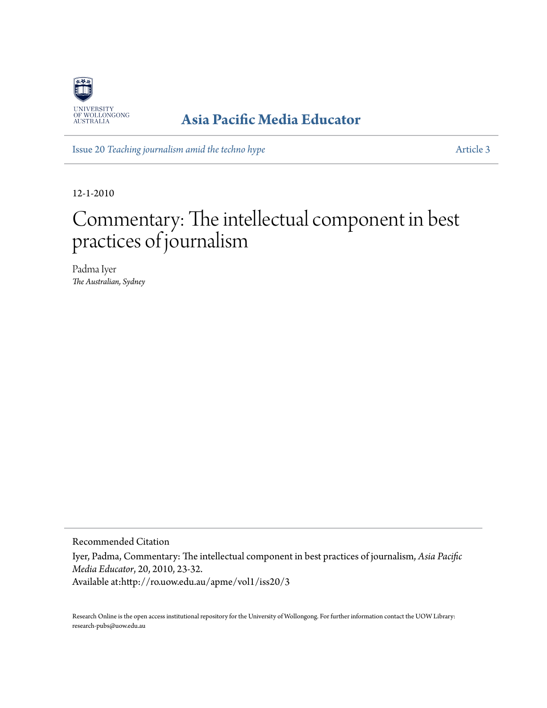

### **[Asia Pacific Media Educator](http://ro.uow.edu.au/apme)**

Issue 20 *[Teaching journalism amid the techno hype](http://ro.uow.edu.au/apme/vol1/iss20)* [Article 3](http://ro.uow.edu.au/apme/vol1/iss20/3)

12-1-2010

# Commentary: The intellectual component in best practices of journalism

Padma Iyer *The Australian, Sydney*

Recommended Citation

Iyer, Padma, Commentary: The intellectual component in best practices of journalism, *Asia Pacific Media Educator*, 20, 2010, 23-32.

Available at:http://ro.uow.edu.au/apme/vol1/iss20/3

Research Online is the open access institutional repository for the University of Wollongong. For further information contact the UOW Library: research-pubs@uow.edu.au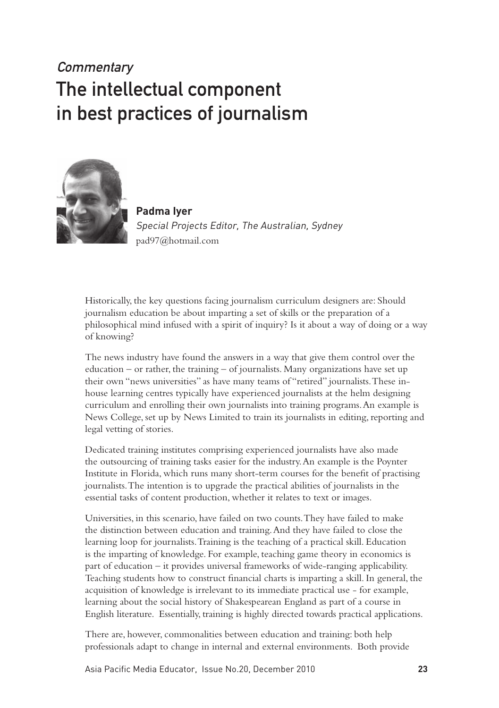## **Commentary** The intellectual component in best practices of journalism



**Padma Iyer** Special Projects Editor, The Australian, Sydney pad97@hotmail.com

Historically, the key questions facing journalism curriculum designers are: Should journalism education be about imparting a set of skills or the preparation of a philosophical mind infused with a spirit of inquiry? Is it about a way of doing or a way of knowing?

The news industry have found the answers in a way that give them control over the education – or rather, the training – of journalists. Many organizations have set up their own "news universities" as have many teams of "retired" journalists. These inhouse learning centres typically have experienced journalists at the helm designing curriculum and enrolling their own journalists into training programs. An example is News College, set up by News Limited to train its journalists in editing, reporting and legal vetting of stories.

Dedicated training institutes comprising experienced journalists have also made the outsourcing of training tasks easier for the industry. An example is the Poynter Institute in Florida, which runs many short-term courses for the benefit of practising journalists. The intention is to upgrade the practical abilities of journalists in the essential tasks of content production, whether it relates to text or images.

Universities, in this scenario, have failed on two counts. They have failed to make the distinction between education and training. And they have failed to close the learning loop for journalists. Training is the teaching of a practical skill. Education is the imparting of knowledge. For example, teaching game theory in economics is part of education – it provides universal frameworks of wide-ranging applicability. Teaching students how to construct financial charts is imparting a skill. In general, the acquisition of knowledge is irrelevant to its immediate practical use - for example, learning about the social history of Shakespearean England as part of a course in English literature. Essentially, training is highly directed towards practical applications.

There are, however, commonalities between education and training: both help professionals adapt to change in internal and external environments. Both provide

Asia Pacific Media Educator, Issue No.20, December 2010 **23**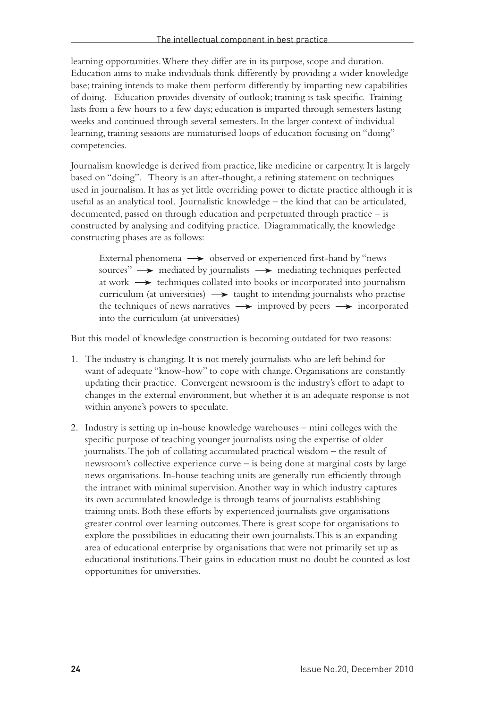learning opportunities. Where they differ are in its purpose, scope and duration. Education aims to make individuals think differently by providing a wider knowledge base; training intends to make them perform differently by imparting new capabilities of doing. Education provides diversity of outlook; training is task specific. Training lasts from a few hours to a few days; education is imparted through semesters lasting weeks and continued through several semesters. In the larger context of individual learning, training sessions are miniaturised loops of education focusing on "doing" competencies.

Journalism knowledge is derived from practice, like medicine or carpentry. It is largely based on "doing". Theory is an after-thought, a refining statement on techniques used in journalism. It has as yet little overriding power to dictate practice although it is useful as an analytical tool. Journalistic knowledge – the kind that can be articulated, documented, passed on through education and perpetuated through practice – is constructed by analysing and codifying practice. Diagrammatically, the knowledge constructing phases are as follows:

External phenomena  $\longrightarrow$  observed or experienced first-hand by "news sources"  $\rightarrow$  mediated by journalists  $\rightarrow$  mediating techniques perfected at work  $\rightarrow$  techniques collated into books or incorporated into journalism curriculum (at universities)  $\longrightarrow$  taught to intending journalists who practise the techniques of news narratives  $\longrightarrow$  improved by peers  $\longrightarrow$  incorporated into the curriculum (at universities)

But this model of knowledge construction is becoming outdated for two reasons:

- 1. The industry is changing. It is not merely journalists who are left behind for want of adequate "know-how" to cope with change. Organisations are constantly updating their practice. Convergent newsroom is the industry's effort to adapt to changes in the external environment, but whether it is an adequate response is not within anyone's powers to speculate.
- 2. Industry is setting up in-house knowledge warehouses mini colleges with the specific purpose of teaching younger journalists using the expertise of older journalists. The job of collating accumulated practical wisdom – the result of newsroom's collective experience curve – is being done at marginal costs by large news organisations. In-house teaching units are generally run efficiently through the intranet with minimal supervision. Another way in which industry captures its own accumulated knowledge is through teams of journalists establishing training units. Both these efforts by experienced journalists give organisations greater control over learning outcomes. There is great scope for organisations to explore the possibilities in educating their own journalists. This is an expanding area of educational enterprise by organisations that were not primarily set up as educational institutions. Their gains in education must no doubt be counted as lost opportunities for universities.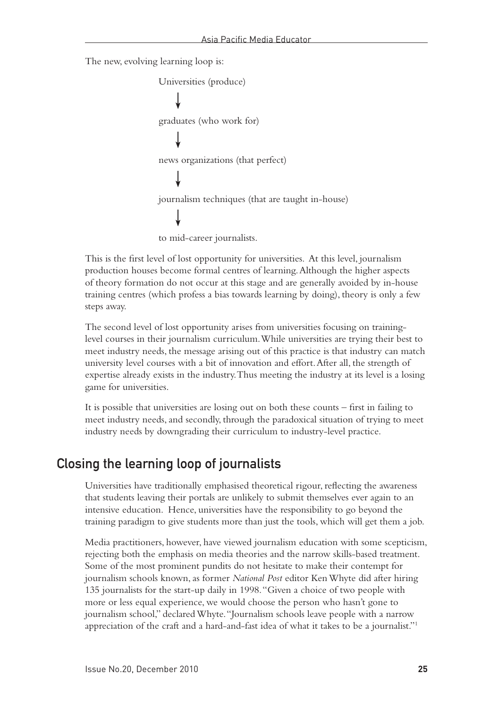The new, evolving learning loop is:

Universities (produce) graduates (who work for) news organizations (that perfect) journalism techniques (that are taught in-house) to mid-career journalists.

This is the first level of lost opportunity for universities. At this level, journalism production houses become formal centres of learning. Although the higher aspects of theory formation do not occur at this stage and are generally avoided by in-house training centres (which profess a bias towards learning by doing), theory is only a few steps away.

The second level of lost opportunity arises from universities focusing on traininglevel courses in their journalism curriculum. While universities are trying their best to meet industry needs, the message arising out of this practice is that industry can match university level courses with a bit of innovation and effort. After all, the strength of expertise already exists in the industry. Thus meeting the industry at its level is a losing game for universities.

It is possible that universities are losing out on both these counts – first in failing to meet industry needs, and secondly, through the paradoxical situation of trying to meet industry needs by downgrading their curriculum to industry-level practice.

#### Closing the learning loop of journalists

Universities have traditionally emphasised theoretical rigour, reflecting the awareness that students leaving their portals are unlikely to submit themselves ever again to an intensive education. Hence, universities have the responsibility to go beyond the training paradigm to give students more than just the tools, which will get them a job.

Media practitioners, however, have viewed journalism education with some scepticism, rejecting both the emphasis on media theories and the narrow skills-based treatment. Some of the most prominent pundits do not hesitate to make their contempt for journalism schools known, as former *National Post* editor Ken Whyte did after hiring 135 journalists for the start-up daily in 1998. "Given a choice of two people with more or less equal experience, we would choose the person who hasn't gone to journalism school," declared Whyte. "Journalism schools leave people with a narrow appreciation of the craft and a hard-and-fast idea of what it takes to be a journalist."1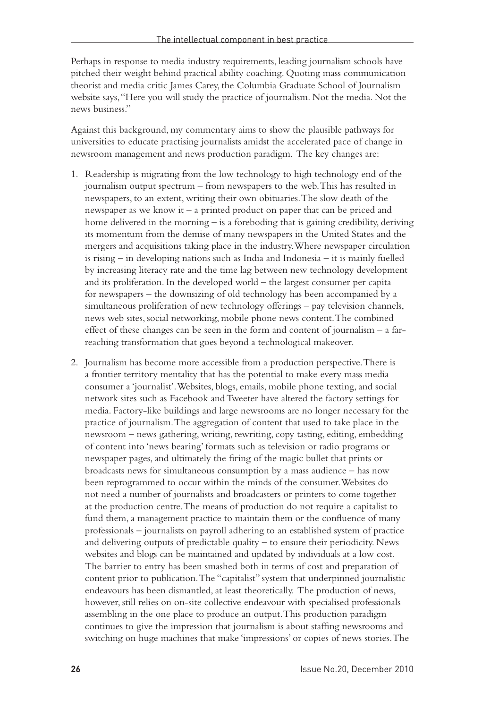Perhaps in response to media industry requirements, leading journalism schools have pitched their weight behind practical ability coaching. Quoting mass communication theorist and media critic James Carey, the Columbia Graduate School of Journalism website says, "Here you will study the practice of journalism. Not the media. Not the news business."

Against this background, my commentary aims to show the plausible pathways for universities to educate practising journalists amidst the accelerated pace of change in newsroom management and news production paradigm. The key changes are:

- 1. Readership is migrating from the low technology to high technology end of the journalism output spectrum – from newspapers to the web. This has resulted in newspapers, to an extent, writing their own obituaries. The slow death of the newspaper as we know it – a printed product on paper that can be priced and home delivered in the morning – is a foreboding that is gaining credibility, deriving its momentum from the demise of many newspapers in the United States and the mergers and acquisitions taking place in the industry. Where newspaper circulation is rising – in developing nations such as India and Indonesia – it is mainly fuelled by increasing literacy rate and the time lag between new technology development and its proliferation. In the developed world – the largest consumer per capita for newspapers – the downsizing of old technology has been accompanied by a simultaneous proliferation of new technology offerings – pay television channels, news web sites, social networking, mobile phone news content. The combined effect of these changes can be seen in the form and content of journalism – a farreaching transformation that goes beyond a technological makeover.
- 2. Journalism has become more accessible from a production perspective. There is a frontier territory mentality that has the potential to make every mass media consumer a 'journalist'. Websites, blogs, emails, mobile phone texting, and social network sites such as Facebook and Tweeter have altered the factory settings for media. Factory-like buildings and large newsrooms are no longer necessary for the practice of journalism. The aggregation of content that used to take place in the newsroom – news gathering, writing, rewriting, copy tasting, editing, embedding of content into 'news bearing' formats such as television or radio programs or newspaper pages, and ultimately the firing of the magic bullet that prints or broadcasts news for simultaneous consumption by a mass audience – has now been reprogrammed to occur within the minds of the consumer. Websites do not need a number of journalists and broadcasters or printers to come together at the production centre. The means of production do not require a capitalist to fund them, a management practice to maintain them or the confluence of many professionals – journalists on payroll adhering to an established system of practice and delivering outputs of predictable quality – to ensure their periodicity. News websites and blogs can be maintained and updated by individuals at a low cost. The barrier to entry has been smashed both in terms of cost and preparation of content prior to publication. The "capitalist" system that underpinned journalistic endeavours has been dismantled, at least theoretically. The production of news, however, still relies on on-site collective endeavour with specialised professionals assembling in the one place to produce an output. This production paradigm continues to give the impression that journalism is about staffing newsrooms and switching on huge machines that make 'impressions' or copies of news stories. The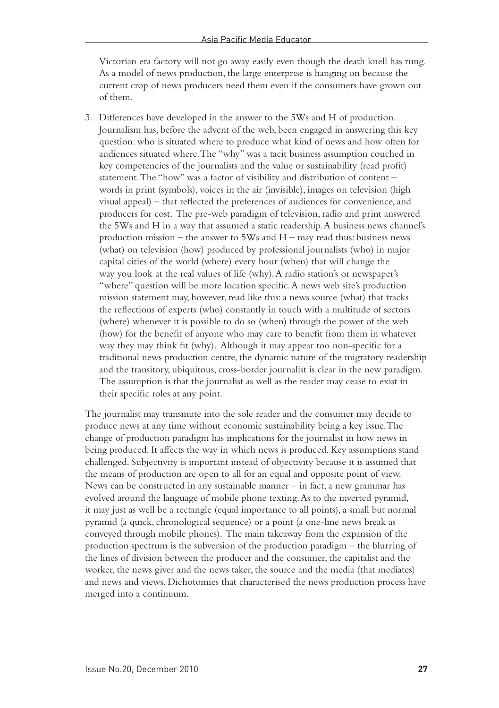Victorian era factory will not go away easily even though the death knell has rung. As a model of news production, the large enterprise is hanging on because the current crop of news producers need them even if the consumers have grown out of them.

3. Differences have developed in the answer to the 5Ws and H of production. Journalism has, before the advent of the web, been engaged in answering this key question: who is situated where to produce what kind of news and how often for audiences situated where. The "why" was a tacit business assumption couched in key competencies of the journalists and the value or sustainability (read profit) statement. The "how" was a factor of visibility and distribution of content – words in print (symbols), voices in the air (invisible), images on television (high visual appeal) – that reflected the preferences of audiences for convenience, and producers for cost. The pre-web paradigm of television, radio and print answered the 5Ws and H in a way that assumed a static readership. A business news channel's production mission – the answer to  $5Ws$  and  $H$  – may read thus: business news (what) on television (how) produced by professional journalists (who) in major capital cities of the world (where) every hour (when) that will change the way you look at the real values of life (why). A radio station's or newspaper's "where" question will be more location specific. A news web site's production mission statement may, however, read like this: a news source (what) that tracks the reflections of experts (who) constantly in touch with a multitude of sectors (where) whenever it is possible to do so (when) through the power of the web (how) for the benefit of anyone who may care to benefit from them in whatever way they may think fit (why). Although it may appear too non-specific for a traditional news production centre, the dynamic nature of the migratory readership and the transitory, ubiquitous, cross-border journalist is clear in the new paradigm. The assumption is that the journalist as well as the reader may cease to exist in their specific roles at any point.

The journalist may transmute into the sole reader and the consumer may decide to produce news at any time without economic sustainability being a key issue. The change of production paradigm has implications for the journalist in how news in being produced. It affects the way in which news is produced. Key assumptions stand challenged. Subjectivity is important instead of objectivity because it is assumed that the means of production are open to all for an equal and opposite point of view. News can be constructed in any sustainable manner – in fact, a new grammar has evolved around the language of mobile phone texting. As to the inverted pyramid, it may just as well be a rectangle (equal importance to all points), a small but normal pyramid (a quick, chronological sequence) or a point (a one-line news break as conveyed through mobile phones). The main takeaway from the expansion of the production spectrum is the subversion of the production paradigm – the blurring of the lines of division between the producer and the consumer, the capitalist and the worker, the news giver and the news taker, the source and the media (that mediates) and news and views. Dichotomies that characterised the news production process have merged into a continuum.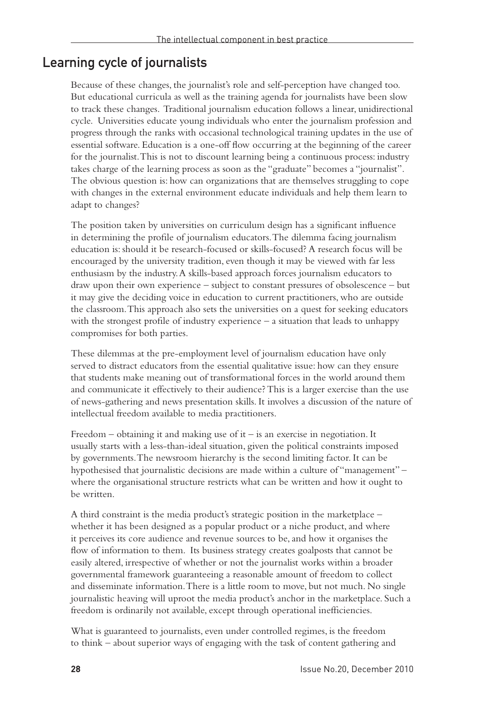#### Learning cycle of journalists

Because of these changes, the journalist's role and self-perception have changed too. But educational curricula as well as the training agenda for journalists have been slow to track these changes. Traditional journalism education follows a linear, unidirectional cycle. Universities educate young individuals who enter the journalism profession and progress through the ranks with occasional technological training updates in the use of essential software. Education is a one-off flow occurring at the beginning of the career for the journalist. This is not to discount learning being a continuous process: industry takes charge of the learning process as soon as the "graduate" becomes a "journalist". The obvious question is: how can organizations that are themselves struggling to cope with changes in the external environment educate individuals and help them learn to adapt to changes?

The position taken by universities on curriculum design has a significant influence in determining the profile of journalism educators. The dilemma facing journalism education is: should it be research-focused or skills-focused? A research focus will be encouraged by the university tradition, even though it may be viewed with far less enthusiasm by the industry. A skills-based approach forces journalism educators to draw upon their own experience – subject to constant pressures of obsolescence – but it may give the deciding voice in education to current practitioners, who are outside the classroom. This approach also sets the universities on a quest for seeking educators with the strongest profile of industry experience – a situation that leads to unhappy compromises for both parties.

These dilemmas at the pre-employment level of journalism education have only served to distract educators from the essential qualitative issue: how can they ensure that students make meaning out of transformational forces in the world around them and communicate it effectively to their audience? This is a larger exercise than the use of news-gathering and news presentation skills. It involves a discussion of the nature of intellectual freedom available to media practitioners.

Freedom – obtaining it and making use of it – is an exercise in negotiation. It usually starts with a less-than-ideal situation, given the political constraints imposed by governments. The newsroom hierarchy is the second limiting factor. It can be hypothesised that journalistic decisions are made within a culture of "management" – where the organisational structure restricts what can be written and how it ought to be written.

A third constraint is the media product's strategic position in the marketplace – whether it has been designed as a popular product or a niche product, and where it perceives its core audience and revenue sources to be, and how it organises the flow of information to them. Its business strategy creates goalposts that cannot be easily altered, irrespective of whether or not the journalist works within a broader governmental framework guaranteeing a reasonable amount of freedom to collect and disseminate information. There is a little room to move, but not much. No single journalistic heaving will uproot the media product's anchor in the marketplace. Such a freedom is ordinarily not available, except through operational inefficiencies.

What is guaranteed to journalists, even under controlled regimes, is the freedom to think – about superior ways of engaging with the task of content gathering and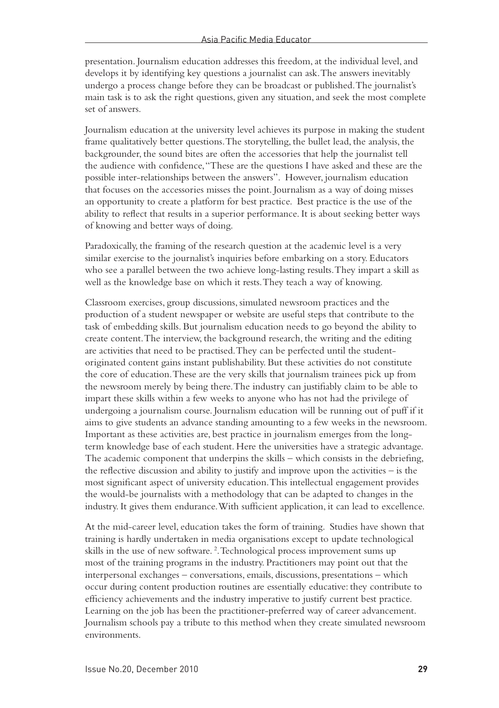presentation. Journalism education addresses this freedom, at the individual level, and develops it by identifying key questions a journalist can ask. The answers inevitably undergo a process change before they can be broadcast or published. The journalist's main task is to ask the right questions, given any situation, and seek the most complete set of answers.

Journalism education at the university level achieves its purpose in making the student frame qualitatively better questions. The storytelling, the bullet lead, the analysis, the backgrounder, the sound bites are often the accessories that help the journalist tell the audience with confidence, "These are the questions I have asked and these are the possible inter-relationships between the answers". However, journalism education that focuses on the accessories misses the point. Journalism as a way of doing misses an opportunity to create a platform for best practice. Best practice is the use of the ability to reflect that results in a superior performance. It is about seeking better ways of knowing and better ways of doing.

Paradoxically, the framing of the research question at the academic level is a very similar exercise to the journalist's inquiries before embarking on a story. Educators who see a parallel between the two achieve long-lasting results. They impart a skill as well as the knowledge base on which it rests. They teach a way of knowing.

Classroom exercises, group discussions, simulated newsroom practices and the production of a student newspaper or website are useful steps that contribute to the task of embedding skills. But journalism education needs to go beyond the ability to create content. The interview, the background research, the writing and the editing are activities that need to be practised. They can be perfected until the studentoriginated content gains instant publishability. But these activities do not constitute the core of education. These are the very skills that journalism trainees pick up from the newsroom merely by being there. The industry can justifiably claim to be able to impart these skills within a few weeks to anyone who has not had the privilege of undergoing a journalism course. Journalism education will be running out of puff if it aims to give students an advance standing amounting to a few weeks in the newsroom. Important as these activities are, best practice in journalism emerges from the longterm knowledge base of each student. Here the universities have a strategic advantage. The academic component that underpins the skills – which consists in the debriefing, the reflective discussion and ability to justify and improve upon the activities – is the most significant aspect of university education. This intellectual engagement provides the would-be journalists with a methodology that can be adapted to changes in the industry. It gives them endurance. With sufficient application, it can lead to excellence.

At the mid-career level, education takes the form of training. Studies have shown that training is hardly undertaken in media organisations except to update technological skills in the use of new software. 2 . Technological process improvement sums up most of the training programs in the industry. Practitioners may point out that the interpersonal exchanges – conversations, emails, discussions, presentations – which occur during content production routines are essentially educative: they contribute to efficiency achievements and the industry imperative to justify current best practice. Learning on the job has been the practitioner-preferred way of career advancement. Journalism schools pay a tribute to this method when they create simulated newsroom environments.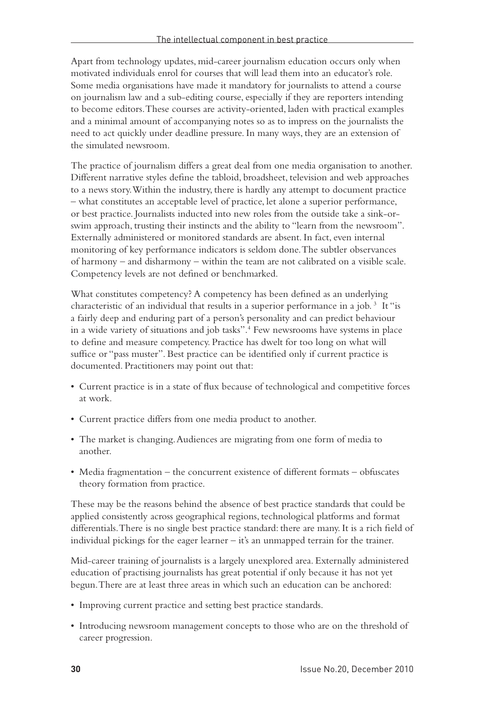Apart from technology updates, mid-career journalism education occurs only when motivated individuals enrol for courses that will lead them into an educator's role. Some media organisations have made it mandatory for journalists to attend a course on journalism law and a sub-editing course, especially if they are reporters intending to become editors. These courses are activity-oriented, laden with practical examples and a minimal amount of accompanying notes so as to impress on the journalists the need to act quickly under deadline pressure. In many ways, they are an extension of the simulated newsroom.

The practice of journalism differs a great deal from one media organisation to another. Different narrative styles define the tabloid, broadsheet, television and web approaches to a news story. Within the industry, there is hardly any attempt to document practice – what constitutes an acceptable level of practice, let alone a superior performance, or best practice. Journalists inducted into new roles from the outside take a sink-orswim approach, trusting their instincts and the ability to "learn from the newsroom". Externally administered or monitored standards are absent. In fact, even internal monitoring of key performance indicators is seldom done. The subtler observances of harmony – and disharmony – within the team are not calibrated on a visible scale. Competency levels are not defined or benchmarked.

What constitutes competency? A competency has been defined as an underlying characteristic of an individual that results in a superior performance in a job.<sup>3</sup> It "is a fairly deep and enduring part of a person's personality and can predict behaviour in a wide variety of situations and job tasks".4 Few newsrooms have systems in place to define and measure competency. Practice has dwelt for too long on what will suffice or "pass muster". Best practice can be identified only if current practice is documented. Practitioners may point out that:

- • Current practice is in a state of flux because of technological and competitive forces at work.
- • Current practice differs from one media product to another.
- The market is changing. Audiences are migrating from one form of media to another.
- Media fragmentation the concurrent existence of different formats obfuscates theory formation from practice.

These may be the reasons behind the absence of best practice standards that could be applied consistently across geographical regions, technological platforms and format differentials. There is no single best practice standard: there are many. It is a rich field of individual pickings for the eager learner – it's an unmapped terrain for the trainer.

Mid-career training of journalists is a largely unexplored area. Externally administered education of practising journalists has great potential if only because it has not yet begun. There are at least three areas in which such an education can be anchored:

- • Improving current practice and setting best practice standards.
- • Introducing newsroom management concepts to those who are on the threshold of career progression.